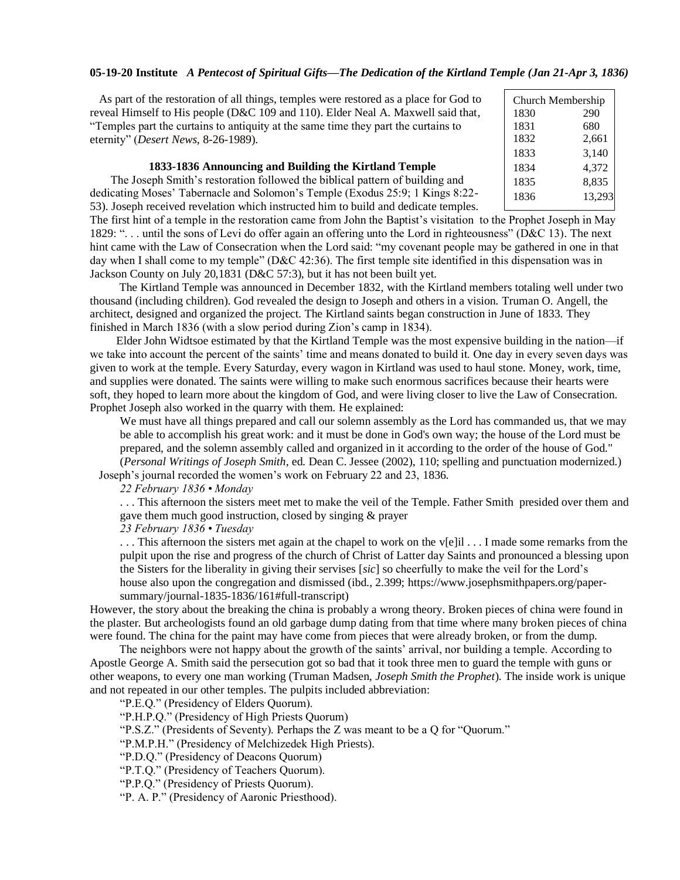## **05-19-20 Institute** *A Pentecost of Spiritual Gifts—The Dedication of the Kirtland Temple (Jan 21-Apr 3, 1836)*

| As part of the restoration of all things, temples were restored as a place for God to | Ch <sub>l</sub> |
|---------------------------------------------------------------------------------------|-----------------|
| reveal Himself to His people (D&C 109 and 110). Elder Neal A. Maxwell said that,      | 183             |
| "Temples part the curtains to antiquity at the same time they part the curtains to    | 183             |
| eternity" ( <i>Desert News</i> , 8-26-1989).                                          | 183             |

# **1833-1836 Announcing and Building the Kirtland Temple**

 The Joseph Smith's restoration followed the biblical pattern of building and dedicating Moses' Tabernacle and Solomon's Temple (Exodus 25:9; 1 Kings 8:22- 53). Joseph received revelation which instructed him to build and dedicate temples.

urch Membership 0  $\mathbf{1}$ 290 680 1832 2,661 1833 3,140 1834 4,372 1835 8,835 1836 13,293

The first hint of a temple in the restoration came from John the Baptist's visitation to the Prophet Joseph in May 1829: ". . . until the sons of Levi do offer again an offering unto the Lord in righteousness" (D&C 13)*.* The next hint came with the Law of Consecration when the Lord said: "my covenant people may be gathered in one in that day when I shall come to my temple" (D&C 42:36). The first temple site identified in this dispensation was in Jackson County on July 20,1831 (D&C 57:3), but it has not been built yet.

 The Kirtland Temple was announced in December 1832, with the Kirtland members totaling well under two thousand (including children). God revealed the design to Joseph and others in a vision. Truman O. Angell, the architect, designed and organized the project. The Kirtland saints began construction in June of 1833. They finished in March 1836 (with a slow period during Zion's camp in 1834).

 Elder John Widtsoe estimated by that the Kirtland Temple was the most expensive building in the nation—if we take into account the percent of the saints' time and means donated to build it. One day in every seven days was given to work at the temple. Every Saturday, every wagon in Kirtland was used to haul stone. Money, work, time, and supplies were donated. The saints were willing to make such enormous sacrifices because their hearts were soft, they hoped to learn more about the kingdom of God, and were living closer to live the Law of Consecration. Prophet Joseph also worked in the quarry with them. He explained:

We must have all things prepared and call our solemn assembly as the Lord has commanded us, that we may be able to accomplish his great work: and it must be done in God's own way; the house of the Lord must be prepared, and the solemn assembly called and organized in it according to the order of the house of God."

(*Personal Writings of Joseph Smith*, ed. Dean C. Jessee (2002), 110; spelling and punctuation modernized.) Joseph's journal recorded the women's work on February 22 and 23, 1836.

*22 February 1836 • Monday*

. . . This afternoon the sisters meet met to make the veil of the Temple. Father Smith presided over them and gave them much good instruction, closed by singing & prayer

*23 February 1836 • Tuesday*

. . . This afternoon the sisters met again at the chapel to work on the v[e]il . . . I made some remarks from the pulpit upon the rise and progress of the church of Christ of Latter day Saints and pronounced a blessing upon the Sisters for the liberality in giving their servises [*sic*] so cheerfully to make the veil for the Lord's house also upon the congregation and dismissed (ibd., 2.399; [https://www.josephsmithpapers.org/paper](https://www.josephsmithpapers.org/paper-summary/journal-1835-1836/161#full-transcript)[summary/journal-1835-1836/161#full-transcript\)](https://www.josephsmithpapers.org/paper-summary/journal-1835-1836/161#full-transcript)

However, the story about the breaking the china is probably a wrong theory. Broken pieces of china were found in the plaster. But archeologists found an old garbage dump dating from that time where many broken pieces of china were found. The china for the paint may have come from pieces that were already broken, or from the dump.

 The neighbors were not happy about the growth of the saints' arrival, nor building a temple. According to Apostle George A. Smith said the persecution got so bad that it took three men to guard the temple with guns or other weapons, to every one man working (Truman Madsen, *Joseph Smith the Prophet*). The inside work is unique and not repeated in our other temples. The pulpits included abbreviation:

"P.E.Q." (Presidency of Elders Quorum).

"P.H.P.Q." (Presidency of High Priests Quorum)

"P.S.Z." (Presidents of Seventy). Perhaps the Z was meant to be a Q for "Quorum."

"P.M.P.H." (Presidency of Melchizedek High Priests).

"P.D.Q." (Presidency of Deacons Quorum)

"P.T.Q." (Presidency of Teachers Quorum).

"P.P.Q." (Presidency of Priests Quorum).

"P. A. P." (Presidency of Aaronic Priesthood).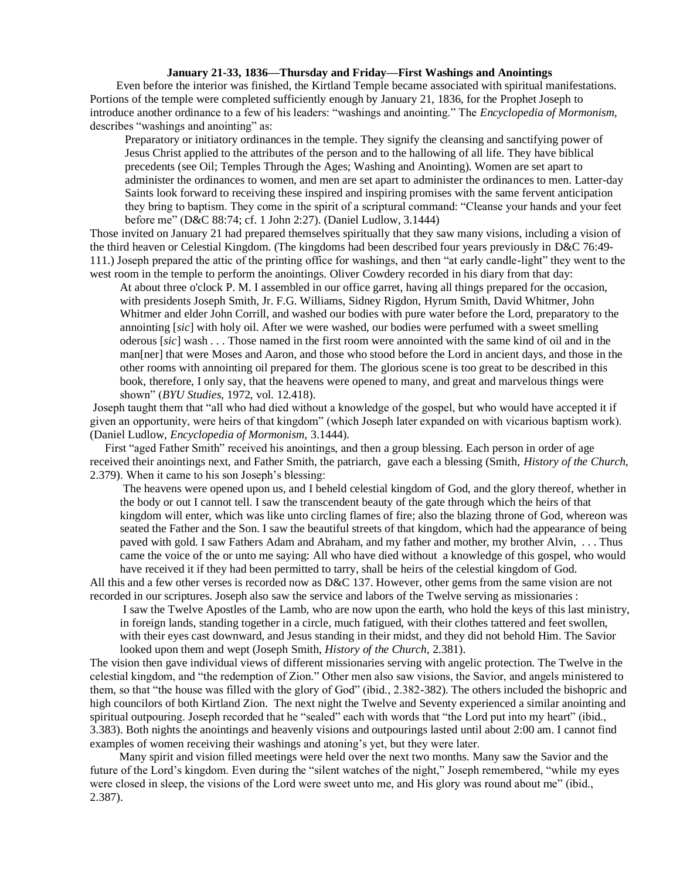## **January 21-33, 1836—Thursday and Friday—First Washings and Anointings**

 Even before the interior was finished, the Kirtland Temple became associated with spiritual manifestations. Portions of the temple were completed sufficiently enough by January 21, 1836, for the Prophet Joseph to introduce another ordinance to a few of his leaders: "washings and anointing." The *Encyclopedia of Mormonism,*  describes "washings and anointing" as:

Preparatory or initiatory ordinances in the temple. They signify the cleansing and sanctifying power of Jesus Christ applied to the attributes of the person and to the hallowing of all life. They have biblical precedents (see Oil; Temples Through the Ages; Washing and Anointing). Women are set apart to administer the ordinances to women, and men are set apart to administer the ordinances to men. Latter-day Saints look forward to receiving these inspired and inspiring promises with the same fervent anticipation they bring to baptism. They come in the spirit of a scriptural command: "Cleanse your hands and your feet before me" (D&C 88:74; cf. 1 John 2:27). (Daniel Ludlow, 3.1444)

Those invited on January 21 had prepared themselves spiritually that they saw many visions, including a vision of the third heaven or Celestial Kingdom. (The kingdoms had been described four years previously in D&C 76:49- 111.) Joseph prepared the attic of the printing office for washings, and then "at early candle-light" they went to the west room in the temple to perform the anointings. Oliver Cowdery recorded in his diary from that day:

At about three o'clock P. M. I assembled in our office garret, having all things prepared for the occasion, with presidents Joseph Smith, Jr. F.G. Williams, Sidney Rigdon, Hyrum Smith, David Whitmer, John Whitmer and elder John Corrill, and washed our bodies with pure water before the Lord, preparatory to the annointing [*sic*] with holy oil. After we were washed, our bodies were perfumed with a sweet smelling oderous [*sic*] wash . . . Those named in the first room were annointed with the same kind of oil and in the man[ner] that were Moses and Aaron, and those who stood before the Lord in ancient days, and those in the other rooms with annointing oil prepared for them. The glorious scene is too great to be described in this book, therefore, I only say, that the heavens were opened to many, and great and marvelous things were shown" (*BYU Studies*, 1972, vol. 12.418).

Joseph taught them that "all who had died without a knowledge of the gospel, but who would have accepted it if given an opportunity, were heirs of that kingdom" (which Joseph later expanded on with vicarious baptism work). (Daniel Ludlow, *Encyclopedia of Mormonism,* 3.1444).

 First "aged Father Smith" received his anointings, and then a group blessing. Each person in order of age received their anointings next, and Father Smith, the patriarch, gave each a blessing (Smith, *History of the Church,*  2.379). When it came to his son Joseph's blessing:

The heavens were opened upon us, and I beheld celestial kingdom of God, and the glory thereof, whether in the body or out I cannot tell. I saw the transcendent beauty of the gate through which the heirs of that kingdom will enter, which was like unto circling flames of fire; also the blazing throne of God, whereon was seated the Father and the Son. I saw the beautiful streets of that kingdom, which had the appearance of being paved with gold. I saw Fathers Adam and Abraham, and my father and mother, my brother Alvin, . . . Thus came the voice of the or unto me saying: All who have died without a knowledge of this gospel, who would have received it if they had been permitted to tarry, shall be heirs of the celestial kingdom of God.

All this and a few other verses is recorded now as D&C 137. However, other gems from the same vision are not recorded in our scriptures. Joseph also saw the service and labors of the Twelve serving as missionaries :

I saw the Twelve Apostles of the Lamb, who are now upon the earth, who hold the keys of this last ministry, in foreign lands, standing together in a circle, much fatigued, with their clothes tattered and feet swollen, with their eyes cast downward, and Jesus standing in their midst, and they did not behold Him. The Savior looked upon them and wept (Joseph Smith, *History of the Church,* 2.381).

The vision then gave individual views of different missionaries serving with angelic protection. The Twelve in the celestial kingdom, and "the redemption of Zion." Other men also saw visions, the Savior, and angels ministered to them, so that "the house was filled with the glory of God" (ibid., 2.382-382). The others included the bishopric and high councilors of both Kirtland Zion. The next night the Twelve and Seventy experienced a similar anointing and spiritual outpouring. Joseph recorded that he "sealed" each with words that "the Lord put into my heart" (ibid., 3.383). Both nights the anointings and heavenly visions and outpourings lasted until about 2:00 am. I cannot find examples of women receiving their washings and atoning's yet, but they were later.

 Many spirit and vision filled meetings were held over the next two months. Many saw the Savior and the future of the Lord's kingdom. Even during the "silent watches of the night," Joseph remembered, "while my eyes were closed in sleep, the visions of the Lord were sweet unto me, and His glory was round about me" (ibid., 2.387).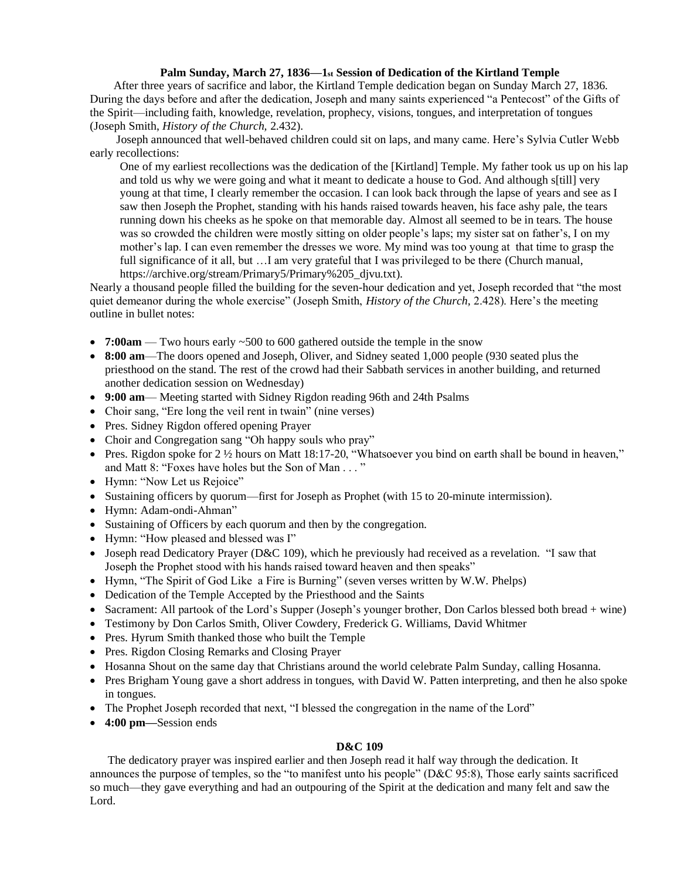# **Palm Sunday, March 27, 1836***—***1st Session of Dedication of the Kirtland Temple**

 After three years of sacrifice and labor, the Kirtland Temple dedication began on Sunday March 27, 1836. During the days before and after the dedication, Joseph and many saints experienced "a Pentecost" of the Gifts of the Spirit—including faith, knowledge, revelation, prophecy, visions, tongues, and interpretation of tongues (Joseph Smith, *History of the Church,* 2.432).

 Joseph announced that well-behaved children could sit on laps, and many came. Here's Sylvia Cutler Webb early recollections:

One of my earliest recollections was the dedication of the [Kirtland] Temple. My father took us up on his lap and told us why we were going and what it meant to dedicate a house to God. And although s[till] very young at that time, I clearly remember the occasion. I can look back through the lapse of years and see as I saw then Joseph the Prophet, standing with his hands raised towards heaven, his face ashy pale, the tears running down his cheeks as he spoke on that memorable day. Almost all seemed to be in tears. The house was so crowded the children were mostly sitting on older people's laps; my sister sat on father's, I on my mother's lap. I can even remember the dresses we wore. My mind was too young at that time to grasp the full significance of it all, but …I am very grateful that I was privileged to be there (Church manual, [https://archive.org/stream/Primary5/Primary%205\\_djvu.txt\)](https://archive.org/stream/Primary5/Primary%205_djvu.txt).

Nearly a thousand people filled the building for the seven-hour dedication and yet, Joseph recorded that "the most quiet demeanor during the whole exercise" (Joseph Smith, *History of the Church,* 2.428). Here's the meeting outline in bullet notes:

- **7:00am** Two hours early ~500 to 600 gathered outside the temple in the snow
- **8:00 am**—The doors opened and Joseph, Oliver, and Sidney seated 1,000 people (930 seated plus the priesthood on the stand. The rest of the crowd had their Sabbath services in another building, and returned another dedication session on Wednesday)
- **9:00 am** Meeting started with Sidney Rigdon reading 96th and 24th Psalms
- Choir sang, "Ere long the veil rent in twain" (nine verses)
- Pres. Sidney Rigdon offered opening Prayer
- Choir and Congregation sang "Oh happy souls who pray"
- Pres. Rigdon spoke for 2  $\frac{1}{2}$  hours on Matt 18:17-20, "Whatsoever you bind on earth shall be bound in heaven," and Matt 8: "Foxes have holes but the Son of Man . . . "
- Hymn: "Now Let us Rejoice"
- Sustaining officers by quorum—first for Joseph as Prophet (with 15 to 20-minute intermission).
- Hymn: Adam-ondi-Ahman"
- Sustaining of Officers by each quorum and then by the congregation.
- Hymn: "How pleased and blessed was I"
- Joseph read Dedicatory Prayer (D&C 109), which he previously had received as a revelation. "I saw that Joseph the Prophet stood with his hands raised toward heaven and then speaks"
- Hymn, "The Spirit of God Like a Fire is Burning" (seven verses written by W.W. Phelps)
- Dedication of the Temple Accepted by the Priesthood and the Saints
- Sacrament: All partook of the Lord's Supper (Joseph's younger brother, Don Carlos blessed both bread + wine)
- Testimony by Don Carlos Smith, Oliver Cowdery, Frederick G. Williams, David Whitmer
- Pres. Hyrum Smith thanked those who built the Temple
- Pres. Rigdon Closing Remarks and Closing Prayer
- Hosanna Shout on the same day that Christians around the world celebrate Palm Sunday, calling Hosanna.
- Pres Brigham Young gave a short address in tongues, with David W. Patten interpreting, and then he also spoke in tongues.
- The Prophet Joseph recorded that next, "I blessed the congregation in the name of the Lord"
- **4:00 pm—**Session ends

## **D&C 109**

 The dedicatory prayer was inspired earlier and then Joseph read it half way through the dedication. It announces the purpose of temples, so the "to manifest unto his people" (D&C 95:8), Those early saints sacrificed so much—they gave everything and had an outpouring of the Spirit at the dedication and many felt and saw the Lord.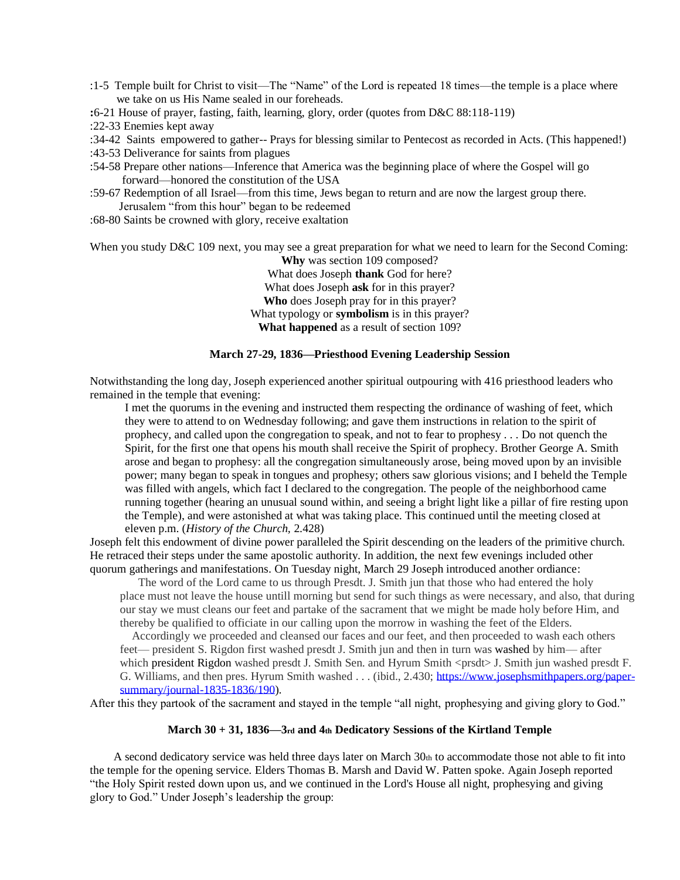- :1-5 Temple built for Christ to visit—The "Name" of the Lord is repeated 18 times—the temple is a place where we take on us His Name sealed in our foreheads.
- **:**6-21 House of prayer, fasting, faith, learning, glory, order (quotes from D&C 88:118-119)
- :22-33 Enemies kept away
- :34-42 Saints empowered to gather-- Prays for blessing similar to Pentecost as recorded in Acts. (This happened!)
- :43-53 Deliverance for saints from plagues
- :54-58 Prepare other nations—Inference that America was the beginning place of where the Gospel will go forward—honored the constitution of the USA
- :59-67 Redemption of all Israel—from this time, Jews began to return and are now the largest group there. Jerusalem "from this hour" began to be redeemed
- :68-80 Saints be crowned with glory, receive exaltation

When you study D&C 109 next, you may see a great preparation for what we need to learn for the Second Coming: **Why** was section 109 composed?

What does Joseph **thank** God for here? What does Joseph **ask** for in this prayer? **Who** does Joseph pray for in this prayer? What typology or **symbolism** is in this prayer? **What happened** as a result of section 109?

## **March 27-29, 1836—Priesthood Evening Leadership Session**

Notwithstanding the long day, Joseph experienced another spiritual outpouring with 416 priesthood leaders who remained in the temple that evening:

I met the quorums in the evening and instructed them respecting the ordinance of washing of feet, which they were to attend to on Wednesday following; and gave them instructions in relation to the spirit of prophecy, and called upon the congregation to speak, and not to fear to prophesy . . . Do not quench the Spirit, for the first one that opens his mouth shall receive the Spirit of prophecy. Brother George A. Smith arose and began to prophesy: all the congregation simultaneously arose, being moved upon by an invisible power; many began to speak in tongues and prophesy; others saw glorious visions; and I beheld the Temple was filled with angels, which fact I declared to the congregation. The people of the neighborhood came running together (hearing an unusual sound within, and seeing a bright light like a pillar of fire resting upon the Temple), and were astonished at what was taking place. This continued until the meeting closed at eleven p.m. (*History of the Church,* 2.428)

Joseph felt this endowment of divine power paralleled the Spirit descending on the leaders of the primitive church. He retraced their steps under the same apostolic authority. In addition, the next few evenings included other quorum gatherings and manifestations. On Tuesday night, March 29 Joseph introduced another ordiance:

The word of the Lord came to us through Presdt. J. Smith jun that those who had entered the holy place must not leave the house untill morning but send for such things as were necessary, and also, that during our stay we must cleans our feet and partake of the sacrament that we might be made holy before Him, and thereby be qualified to officiate in our calling upon the morrow in washing the feet of the Elders.

 Accordingly we proceeded and cleansed our faces and our feet, and then proceeded to wash each others feet— president S. Rigdon first washed presdt J. Smith jun and then in turn was washed by him— after which president Rigdon washed presdt J. Smith Sen. and Hyrum Smith <prsdt> J. Smith jun washed presdt F. G. Williams, and then pres. Hyrum Smith washed . . . (ibid., 2.430[; https://www.josephsmithpapers.org/paper](https://www.josephsmithpapers.org/paper-summary/journal-1835-1836/190)[summary/journal-1835-1836/190\)](https://www.josephsmithpapers.org/paper-summary/journal-1835-1836/190).

After this they partook of the sacrament and stayed in the temple "all night, prophesying and giving glory to God."

#### **March 30 + 31, 1836—3rd and 4th Dedicatory Sessions of the Kirtland Temple**

 A second dedicatory service was held three days later on March 30th to accommodate those not able to fit into the temple for the opening service. Elders Thomas B. Marsh and David W. Patten spoke. Again Joseph reported "the Holy Spirit rested down upon us, and we continued in the Lord's House all night, prophesying and giving glory to God." Under Joseph's leadership the group: